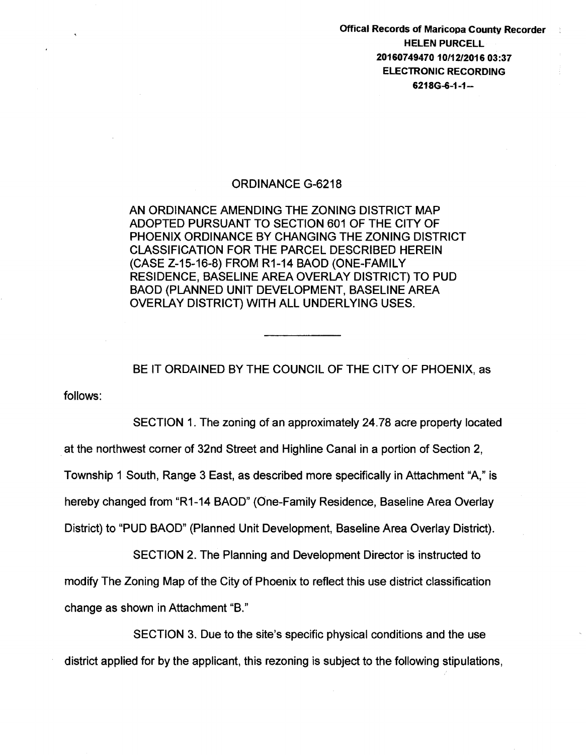Offical Records of Maricopa County Recorder **HELEN** PURCELL 20160749470 10/12/2016 03:37 ELECTRONIC RECORDING 6218G-6-1-1-

## ORDINANCE G-6218

AN ORDINANCE AMENDING THE ZONING DISTRICT MAP ADOPTED PURSUANT TO SECTION 601 OF THE CITY OF PHOENIX ORDINANCE BY CHANGING THE ZONING DISTRICT CLASSIFICATION FOR THE PARCEL DESCRIBED HEREIN (CASE Z-15-16-8) FROM R1-14 BAOD (ONE-FAMILY RESIDENCE, BASELINE AREA OVERLAY DISTRICT) TO PUD BAOD (PLANNED UNIT DEVELOPMENT, BASELINE AREA OVERLAY DISTRICT) WITH ALL UNDERLYING USES.

BE IT ORDAINED BY THE COUNCIL OF THE CITY OF PHOENIX, as

follows:

SECTION 1. The zoning of an approximately 24.78 acre property located . at the northwest corner of 32nd Street and Highline Canal in a portion of Section 2, Township 1 South, Range 3 East, as described more specifically in Attachment "A," is hereby changed from "R1-14 BAOD" (One-Family Residence, Baseline Area Overlay District) to "PUD BAOD" (Planned Unit Development, Baseline Area Overlay District).

SECTION 2. The Planning and Development Director is instructed to modify The Zoning Map of the City of Phoenix to reflect this use district classification change as shown in Attachment "B."

SECTION 3. Due to the site's specific physical conditions and the use district applied for by the applicant, this rezoning is subject to the following stipulations,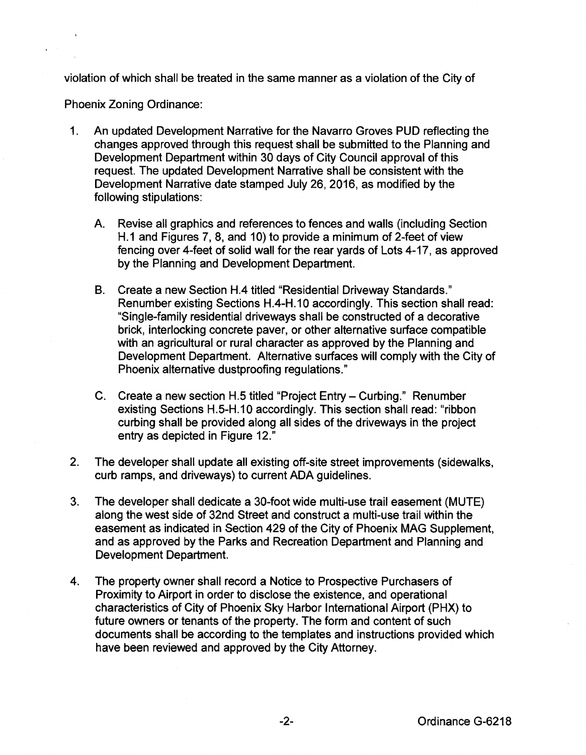violation of which shall be treated in the same manner as a violation of the City of

Phoenix Zoning Ordinance:

- 1. An updated Development Narrative for the Navarro Groves PUD reflecting the changes approved through this request shall be submitted to the Planning and Development Department within 30 days of City Council approval of this request. The updated Development Narrative shall be consistent with the Development Narrative date stamped July 26, 2016, as modified by the following stipulations:
	- A. Revise all graphics and references to fences and walls (including Section H.1 and Figures 7, 8, and 10) to provide a minimum of 2-feet of view fencing over 4-feet of solid wall for the rear yards of Lots 4-17, as approved by the Planning and Development Department.
	- B. Create a new Section H.4 titled "Residential Driveway Standards." Renumber existing Sections H.4-H.10 accordingly. This section shall read: "Single-family residential driveways shall be constructed of a decorative brick, interlocking concrete paver, or other alternative surface compatible with an agricultural or rural character as approved by the Planning and Development Department. Alternative surfaces will comply with the City of Phoenix alternative dustproofing regulations."
	- C. Create a new section H.5 titled "Project Entry- Curbing." Renumber existing Sections H.5-H.10 accordingly. This section shall read: "ribbon curbing shall be provided along all sides of the driveways in the project entry as depicted in Figure 12."
- 2. The developer shall update all existing off-site street improvements (sidewalks, curb ramps, and driveways) to current ADA guidelines.
- 3. The developer shall dedicate a 30-foot wide multi-use trail easement (MUTE) along the west side of 32nd Street and construct a multi-use trail within the easement as indicated in Section 429 of the City of Phoenix MAG Supplement, and as approved by the Parks and Recreation Department and Planning and Development Department.
- 4. The property owner shall record a Notice to Prospective Purchasers of Proximity to Airport in order to disclose the existence, and operational characteristics of City of Phoenix Sky Harbor International Airport (PHX) to future owners or tenants of the property. The form and content of such documents shall be according to the templates and instructions provided which have been reviewed and approved by the City Attorney.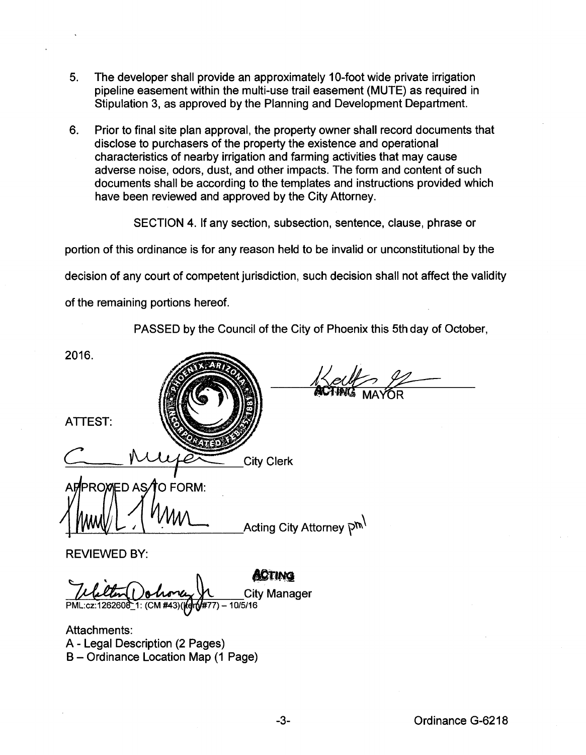- 5. The developer shall provide an approximately 1 0-foot wide private irrigation pipeline easement within the multi-use trail easement (MUTE) as required in Stipulation 3, as approved by the Planning and Development Department.
- 6. Prior to final site plan approval, the property owner shall record documents that disclose to purchasers of the property the existence and operational characteristics of nearby irrigation and farming activities that may cause adverse noise, odors, dust, and other impacts. The form and content of such documents shall be according to the templates and instructions provided which have been reviewed and approved by the City Attorney.

SECTION 4. If any section, subsection, sentence, clause, phrase or

portion of this ordinance is for any reason held to be invalid or unconstitutional by the

decision of any court of competent jurisdiction, such decision shall not affect the validity

of the remaining portions hereof.

PASSED by the Council of the City of Phoenix this 5th day of October,

2016. ATTEST: **City Clerk** O FORM: **PROMED AS** Acting City Attorney <sup>תחק</sup> REVIEWED BY: **ACTING City Manager** 

Attachments: A - Legal Description (2 Pages) B- Ordinance Location Map (1 Page)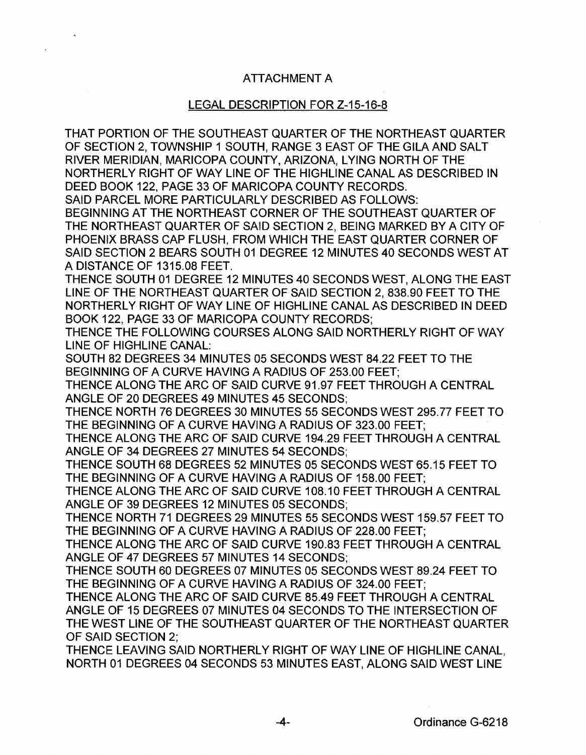## ATTACHMENT A

## LEGAL DESCRIPTION FOR Z-15-16-8

THAT PORTION OF THE SOUTHEAST QUARTER OF THE NORTHEAST QUARTER OF SECTION 2, TOWNSHIP 1 SOUTH, RANGE 3 EAST OF THE GILA AND SALT RIVER MERIDIAN, MARICOPA COUNTY, ARIZONA, LYING NORTH OF THE NORTHERLY RIGHT OF WAY LINE OF THE HIGHLINE CANAL AS DESCRIBED IN DEED BOOK 122, PAGE 33 OF MARICOPA COUNTY RECORDS.

SAID PARCEL MORE PARTICULARLY DESCRIBED AS FOLLOWS:

BEGINNING AT THE NORTHEAST CORNER OF THE SOUTHEAST QUARTER OF THE NORTHEAST QUARTER OF SAID SECTION 2, BEING MARKED BY A CITY OF PHOENIX BRASS CAP FLUSH, FROM WHICH THE EAST QUARTER CORNER OF SAID SECTION 2 BEARS SOUTH 01 DEGREE 12 MINUTES 40 SECONDS WEST AT A DISTANCE OF 1315.08 FEET.

THENCE SOUTH 01 DEGREE 12 MINUTES 40 SECONDS WEST, ALONG THE EAST LINE OF THE NORTHEAST QUARTER OF SAID SECTION 2, 838.90 FEET TO THE NORTHERLY RIGHT OF WAY LINE OF HIGHLINE CANAL AS DESCRIBED IN DEED BOOK 122, PAGE 33 OF MARICOPA COUNTY RECORDS;

THENCE THE FOLLOWING COURSES ALONG SAID NORTHERLY RIGHT OF WAY LINE OF HIGHLINE CANAL:

SOUTH 82 DEGREES 34 MINUTES 05 SECONDS WEST 84.22 FEET TO THE BEGINNING OF A CURVE HAVING A RADIUS OF 253.00 FEET;

THENCE ALONG THE ARC OF SAID CURVE 91.97 FEET THROUGH A CENTRAL ANGLE OF 20 DEGREES 49 MINUTES 45 SECONDS;

THENCE NORTH 76 DEGREES 30 MINUTES 55 SECONDS WEST 295.77 FEET TO THE BEGINNING OF A CURVE HAVING A RADIUS OF 323.00 FEET;

THENCE ALONG THE ARC OF SAID CURVE 194.29 FEET THROUGH A CENTRAL ANGLE OF 34 DEGREES 27 MINUTES 54 SECONDS;

THENCE SOUTH 68 DEGREES 52 MINUTES 05 SECONDS WEST 65.15 FEET TO THE BEGINNING OF A CURVE HAVING A RADIUS OF 158.00 FEET;

THENCE ALONG THE ARC OF SAID CURVE 108.10 FEET THROUGH A CENTRAL ANGLE OF 39 DEGREES 12 MINUTES 05 SECONDS;

THENCE NORTH 71 DEGREES 29 MINUTES 55 SECONDS WEST 159.57 FEET TO THE BEGINNING OF A CURVE HAVING A RADIUS OF 228.00 FEET;

THENCE ALONG THE ARC OF SAID CURVE 190.83 FEET THROUGH A CENTRAL ANGLE OF 47 DEGREES 57 MINUTES 14 SECONDS;

THENCE SOUTH 60 DEGREES 07 MINUTES 05 SECONDS WEST 89.24 FEET TO THE BEGINNING OF A CURVE HAVING A RADIUS OF 324.00 FEET;

THENCE ALONG THE ARC OF SAID CURVE 85.49 FEET THROUGH A CENTRAL ANGLE OF 15 DEGREES 07 MINUTES 04 SECONDS TO THE INTERSECTION OF THE WEST LINE OF THE SOUTHEAST QUARTER OF THE NORTHEAST QUARTER OF SAID SECTION 2;

THENCE LEAVING SAID NORTHERLY RIGHT OF WAY LINE OF HIGHLINE CANAL, NORTH 01 DEGREES 04 SECONDS 53 MINUTES EAST, ALONG SAID WEST LINE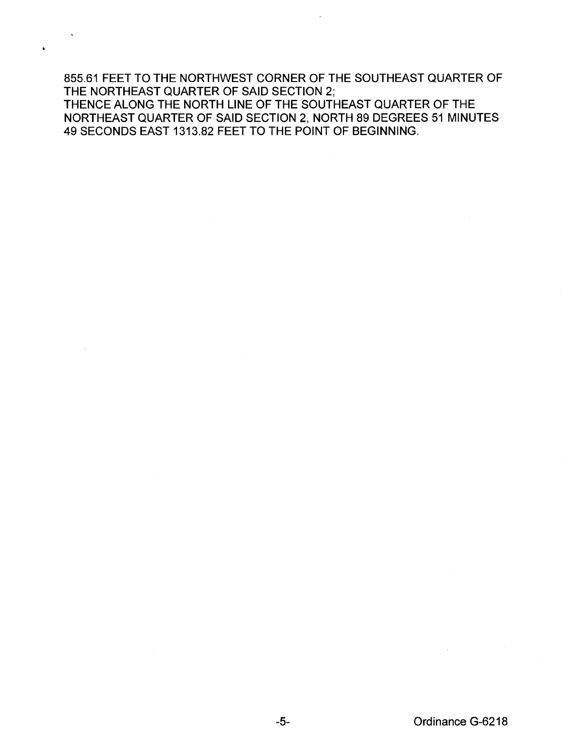855.61 FEET TO THE NORTHWEST CORNER OF THE SOUTHEAST QUARTER OF THE NORTHEAST QUARTER OF SAID SECTION 2; THENCE ALONG THE NORTH LINE OF THE SOUTHEAST QUARTER OF THE NORTHEAST QUARTER OF SAID SECTION 2, NORTH 89 DEGREES 51 MINUTES 49 SECONDS EAST 1313.82 FEET TO THE POINT OF BEGINNING.